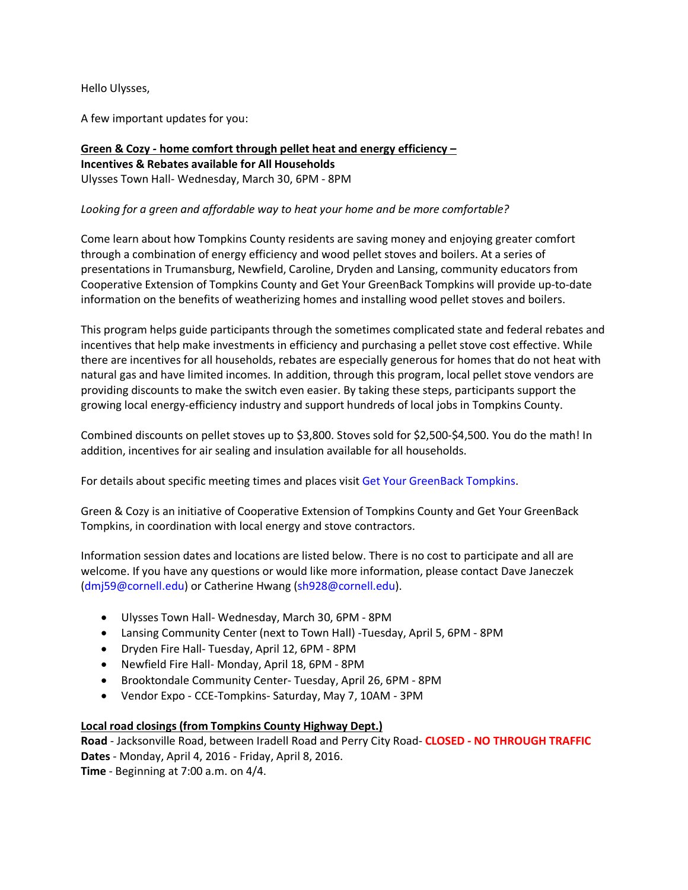Hello Ulysses,

A few important updates for you:

**[Green & Cozy](http://www.getyourgreenbacktompkins.org/green-cozy/)** *-* **home comfort through pellet heat and energy efficiency – Incentives & Rebates available for All Households** Ulysses Town Hall- Wednesday, March 30, 6PM - 8PM

# *Looking for a green and affordable way to heat your home and be more comfortable?*

Come learn about how Tompkins County residents are saving money and enjoying greater comfort through a combination of energy efficiency and wood pellet stoves and boilers. At a series of presentations in Trumansburg, Newfield, Caroline, Dryden and Lansing, community educators from Cooperative Extension of Tompkins County and Get Your GreenBack Tompkins will provide up-to-date information on the benefits of weatherizing homes and installing wood pellet stoves and boilers.

This program helps guide participants through the sometimes complicated state and federal rebates and incentives that help make investments in efficiency and purchasing a pellet stove cost effective. While there are incentives for all households, rebates are especially generous for homes that do not heat with natural gas and have limited incomes. In addition, through this program, local pellet stove vendors are providing discounts to make the switch even easier. By taking these steps, participants support the growing local energy-efficiency industry and support hundreds of local jobs in Tompkins County.

Combined discounts on pellet stoves up to \$3,800. Stoves sold for \$2,500-\$4,500. You do the math! In addition, incentives for air sealing and insulation available for all households.

For details about specific meeting times and places visi[t Get Your GreenBack Tompkins.](http://www.getyourgreenbacktompkins.org/green-cozy/)

Green & Cozy is an initiative of Cooperative Extension of Tompkins County and Get Your GreenBack Tompkins, in coordination with local energy and stove contractors.

Information session dates and locations are listed below. There is no cost to participate and all are welcome. If you have any questions or would like more information, please contact Dave Janeczek [\(dmj59@cornell.edu\)](mailto:dmj59@cornell.edu) or Catherine Hwang [\(sh928@cornell.edu\)](mailto:sh928@cornell.edu).

- Ulysses Town Hall- Wednesday, March 30, 6PM 8PM
- Lansing Community Center (next to Town Hall) -Tuesday, April 5, 6PM 8PM
- Dryden Fire Hall- Tuesday, April 12, 6PM 8PM
- Newfield Fire Hall- Monday, April 18, 6PM 8PM
- Brooktondale Community Center- Tuesday, April 26, 6PM 8PM
- Vendor Expo CCE-Tompkins- Saturday, May 7, 10AM 3PM

## **Local road closings (from Tompkins County Highway Dept.)**

**Road** - Jacksonville Road, between Iradell Road and Perry City Road- **CLOSED - NO THROUGH TRAFFIC Dates** - Monday, April 4, 2016 - Friday, April 8, 2016. **Time** - Beginning at 7:00 a.m. on 4/4.